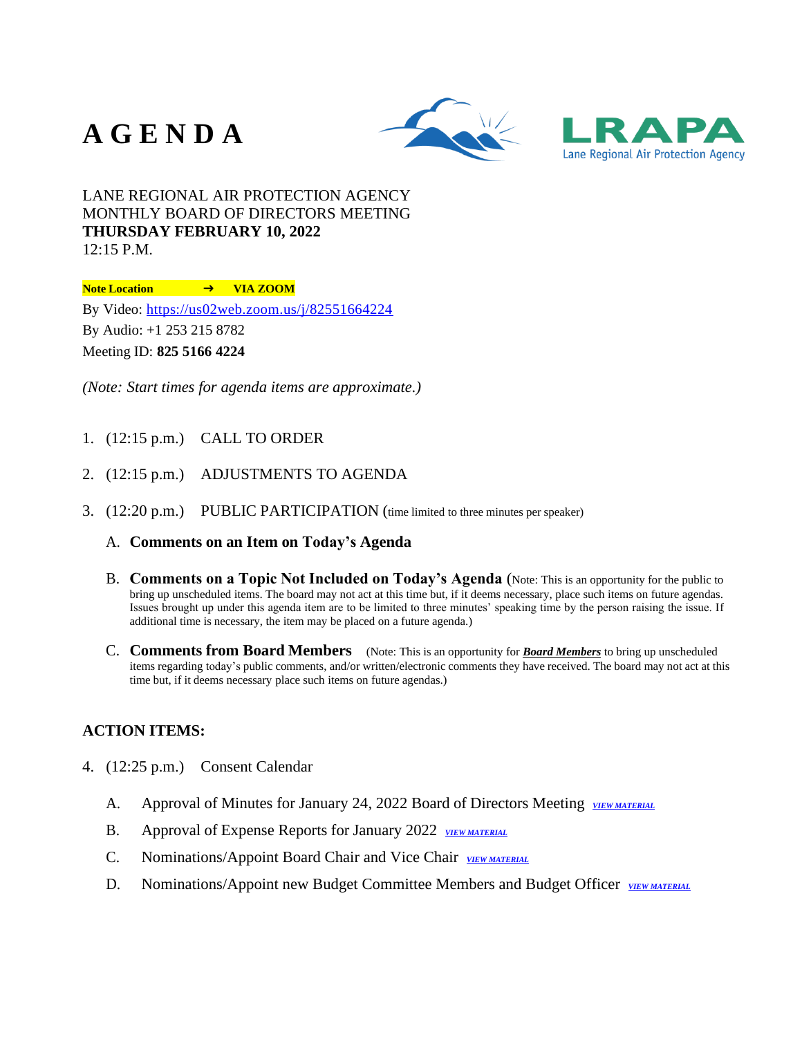## **A G E N D A**





LANE REGIONAL AIR PROTECTION AGENCY MONTHLY BOARD OF DIRECTORS MEETING **THURSDAY FEBRUARY 10, 2022** 12:15 P.M.

**Note Location** ➜ **VIA ZOOM**

By Video: <https://us02web.zoom.us/j/82551664224>

By Audio: +1 253 215 8782

Meeting ID: **825 5166 4224**

*(Note: Start times for agenda items are approximate.)*

- 1. (12:15 p.m.) CALL TO ORDER
- 2. (12:15 p.m.) ADJUSTMENTS TO AGENDA
- 3. (12:20 p.m.) PUBLIC PARTICIPATION (time limited to three minutes per speaker)
	- A. **Comments on an Item on Today's Agenda**
	- B. **Comments on a Topic Not Included on Today's Agenda** (Note: This is an opportunity for the public to bring up unscheduled items. The board may not act at this time but, if it deems necessary, place such items on future agendas. Issues brought up under this agenda item are to be limited to three minutes' speaking time by the person raising the issue. If additional time is necessary, the item may be placed on a future agenda.)
	- C. **Comments from Board Members** (Note: This is an opportunity for *Board Members* to bring up unscheduled items regarding today's public comments, and/or written/electronic comments they have received. The board may not act at this time but, if it deems necessary place such items on future agendas.)

## **ACTION ITEMS:**

- 4. (12:25 p.m.) Consent Calendar
	- A. Approval of Minutes for January 24, 2022 Board of Directors Meeting *[VIEW MATERIAL](https://www.lrapa.org/DocumentCenter/View/6222/4A)*
	- B. Approval of Expense Reports for January 2022 *[VIEW MATERIAL](https://www.lrapa.org/DocumentCenter/View/6234/4B)*
	- C. Nominations/Appoint Board Chair and Vice Chair *[VIEW MATERIAL](https://www.lrapa.org/DocumentCenter/View/6223/4C)*
	- D. Nominations/Appoint new Budget Committee Members and Budget Officer *[VIEW MATERIAL](https://www.lrapa.org/DocumentCenter/View/6224/4D)*